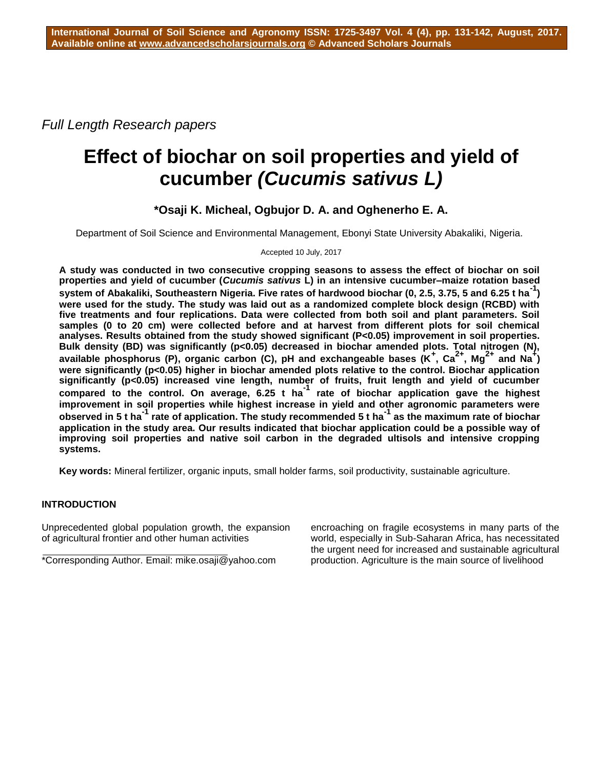*Full Length Research papers*

# **Effect of biochar on soil properties and yield of cucumber** *(Cucumis sativus L)*

## **\*Osaji K. Micheal, Ogbujor D. A. and Oghenerho E. A.**

Department of Soil Science and Environmental Management, Ebonyi State University Abakaliki, Nigeria.

## Accepted 10 July, 2017

**A study was conducted in two consecutive cropping seasons to assess the effect of biochar on soil properties and yield of cucumber (***Cucumis sativus* **L) in an intensive cucumber–maize rotation based system of Abakaliki, Southeastern Nigeria. Five rates of hardwood biochar (0, 2.5, 3.75, 5 and 6.25 t ha-1 ) were used for the study. The study was laid out as a randomized complete block design (RCBD) with five treatments and four replications. Data were collected from both soil and plant parameters. Soil samples (0 to 20 cm) were collected before and at harvest from different plots for soil chemical analyses. Results obtained from the study showed significant (P<0.05) improvement in soil properties. Bulk density (BD) was significantly (p<0.05) decreased in biochar amended plots. Total nitrogen (N), available phosphorus (P), organic carbon (C), pH and exchangeable bases (K<sup>+</sup> , Ca2+, Mg2+ and Na<sup>+</sup> )**  were significantly (p<0.05) higher in biochar amended plots relative to the control. Biochar application **significantly (p<0.05) increased vine length, number of fruits, fruit length and yield of cucumber compared to the control. On average, 6.25 t ha-1 rate of biochar application gave the highest improvement in soil properties while highest increase in yield and other agronomic parameters were observed in 5 t ha-1 rate of application. The study recommended 5 t ha-1 as the maximum rate of biochar application in the study area. Our results indicated that biochar application could be a possible way of improving soil properties and native soil carbon in the degraded ultisols and intensive cropping systems.**

**Key words:** Mineral fertilizer, organic inputs, small holder farms, soil productivity, sustainable agriculture.

## **INTRODUCTION**

Unprecedented global population growth, the expansion of agricultural frontier and other human activities

\*Corresponding Author. Email: mike.osaji@yahoo.com

encroaching on fragile ecosystems in many parts of the world, especially in Sub-Saharan Africa, has necessitated the urgent need for increased and sustainable agricultural production. Agriculture is the main source of livelihood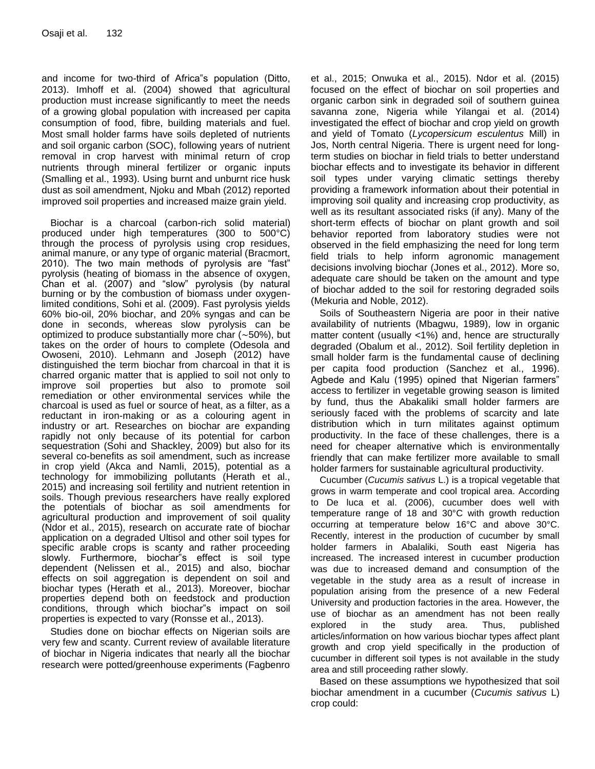and income for two-third of Africa"s population (Ditto, 2013). Imhoff et al. (2004) showed that agricultural production must increase significantly to meet the needs of a growing global population with increased per capita consumption of food, fibre, building materials and fuel. Most small holder farms have soils depleted of nutrients and soil organic carbon (SOC), following years of nutrient removal in crop harvest with minimal return of crop nutrients through mineral fertilizer or organic inputs (Smalling et al., 1993). Using burnt and unburnt rice husk dust as soil amendment, Njoku and Mbah (2012) reported improved soil properties and increased maize grain yield.

Biochar is a charcoal (carbon-rich solid material) produced under high temperatures (300 to 500°C) through the process of pyrolysis using crop residues, animal manure, or any type of organic material (Bracmort, 2010). The two main methods of pyrolysis are "fast" pyrolysis (heating of biomass in the absence of oxygen, Chan et al. (2007) and "slow" pyrolysis (by natural burning or by the combustion of biomass under oxygenlimited conditions, Sohi et al. (2009). Fast pyrolysis yields 60% bio-oil, 20% biochar, and 20% syngas and can be done in seconds, whereas slow pyrolysis can be optimized to produce substantially more char (∼50%), but takes on the order of hours to complete (Odesola and Owoseni, 2010). Lehmann and Joseph (2012) have distinguished the term biochar from charcoal in that it is charred organic matter that is applied to soil not only to improve soil properties but also to promote soil remediation or other environmental services while the charcoal is used as fuel or source of heat, as a filter, as a reductant in iron-making or as a colouring agent in industry or art. Researches on biochar are expanding rapidly not only because of its potential for carbon sequestration (Sohi and Shackley, 2009) but also for its several co-benefits as soil amendment, such as increase in crop yield (Akca and Namli, 2015), potential as a technology for immobilizing pollutants (Herath et al., 2015) and increasing soil fertility and nutrient retention in soils. Though previous researchers have really explored the potentials of biochar as soil amendments for agricultural production and improvement of soil quality (Ndor et al., 2015), research on accurate rate of biochar application on a degraded Ultisol and other soil types for specific arable crops is scanty and rather proceeding slowly. Furthermore, biochar"s effect is soil type dependent (Nelissen et al., 2015) and also, biochar effects on soil aggregation is dependent on soil and biochar types (Herath et al., 2013). Moreover, biochar properties depend both on feedstock and production conditions, through which biochar"s impact on soil properties is expected to vary (Ronsse et al., 2013).

Studies done on biochar effects on Nigerian soils are very few and scanty. Current review of available literature of biochar in Nigeria indicates that nearly all the biochar research were potted/greenhouse experiments (Fagbenro et al., 2015; Onwuka et al., 2015). Ndor et al. (2015) focused on the effect of biochar on soil properties and organic carbon sink in degraded soil of southern guinea savanna zone, Nigeria while Yilangai et al. (2014) investigated the effect of biochar and crop yield on growth and yield of Tomato (*Lycopersicum esculentus* Mill) in Jos, North central Nigeria. There is urgent need for longterm studies on biochar in field trials to better understand biochar effects and to investigate its behavior in different soil types under varying climatic settings thereby providing a framework information about their potential in improving soil quality and increasing crop productivity, as well as its resultant associated risks (if any). Many of the short-term effects of biochar on plant growth and soil behavior reported from laboratory studies were not observed in the field emphasizing the need for long term field trials to help inform agronomic management decisions involving biochar (Jones et al., 2012). More so, adequate care should be taken on the amount and type of biochar added to the soil for restoring degraded soils (Mekuria and Noble, 2012).

Soils of Southeastern Nigeria are poor in their native availability of nutrients (Mbagwu, 1989), low in organic matter content (usually <1%) and, hence are structurally degraded (Obalum et al., 2012). Soil fertility depletion in small holder farm is the fundamental cause of declining per capita food production (Sanchez et al., 1996). Agbede and Kalu (1995) opined that Nigerian farmers" access to fertilizer in vegetable growing season is limited by fund, thus the Abakaliki small holder farmers are seriously faced with the problems of scarcity and late distribution which in turn militates against optimum productivity. In the face of these challenges, there is a need for cheaper alternative which is environmentally friendly that can make fertilizer more available to small holder farmers for sustainable agricultural productivity.

Cucumber (*Cucumis sativus* L.) is a tropical vegetable that grows in warm temperate and cool tropical area. According to De luca et al. (2006), cucumber does well with temperature range of 18 and 30°C with growth reduction occurring at temperature below 16°C and above 30°C. Recently, interest in the production of cucumber by small holder farmers in Abalaliki, South east Nigeria has increased. The increased interest in cucumber production was due to increased demand and consumption of the vegetable in the study area as a result of increase in population arising from the presence of a new Federal University and production factories in the area. However, the use of biochar as an amendment has not been really explored in the study area. Thus, published articles/information on how various biochar types affect plant growth and crop yield specifically in the production of cucumber in different soil types is not available in the study area and still proceeding rather slowly.

Based on these assumptions we hypothesized that soil biochar amendment in a cucumber (*Cucumis sativus* L) crop could: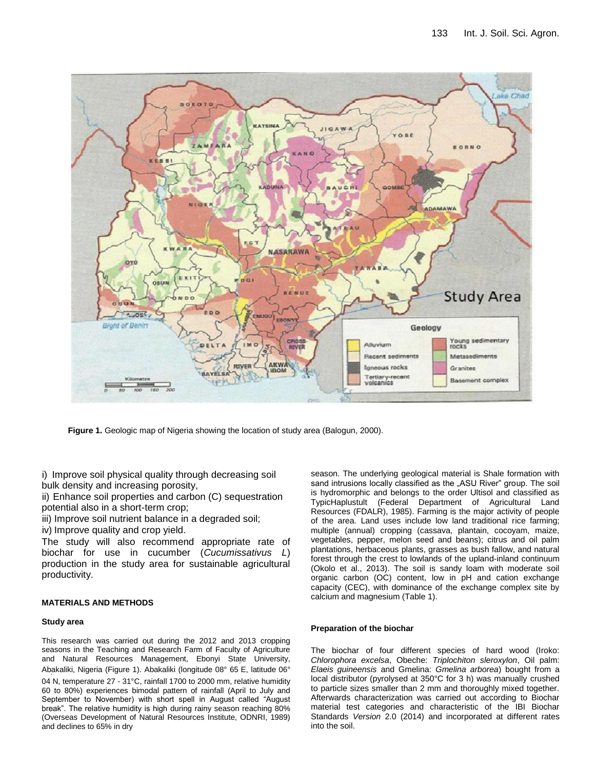

**Figure 1.** Geologic map of Nigeria showing the location of study area (Balogun, 2000).

i) Improve soil physical quality through decreasing soil bulk density and increasing porosity,

ii) Enhance soil properties and carbon (C) sequestration potential also in a short-term crop;

iii) Improve soil nutrient balance in a degraded soil;

iv) Improve quality and crop yield.

The study will also recommend appropriate rate of biochar for use in cucumber (*Cucumissativus L*) production in the study area for sustainable agricultural productivity.

## **MATERIALS AND METHODS**

#### **Study area**

This research was carried out during the 2012 and 2013 cropping seasons in the Teaching and Research Farm of Faculty of Agriculture and Natural Resources Management, Ebonyi State University, Abakaliki, Nigeria (Figure 1). Abakaliki (longitude 08° 65΄ E, latitude 06° 04΄ N, temperature 27 - 31°C, rainfall 1700 to 2000 mm, relative humidity 60 to 80%) experiences bimodal pattern of rainfall (April to July and September to November) with short spell in August called "August break". The relative humidity is high during rainy season reaching 80% (Overseas Development of Natural Resources Institute, ODNRI, 1989) and declines to 65% in dry

season. The underlying geological material is Shale formation with sand intrusions locally classified as the "ASU River" group. The soil is hydromorphic and belongs to the order Ultisol and classified as TypicHaplustult (Federal Department of Agricultural Land Resources (FDALR), 1985). Farming is the major activity of people of the area. Land uses include low land traditional rice farming; multiple (annual) cropping (cassava, plantain, cocoyam, maize, vegetables, pepper, melon seed and beans); citrus and oil palm plantations, herbaceous plants, grasses as bush fallow, and natural forest through the crest to lowlands of the upland-inland continuum (Okolo et al., 2013). The soil is sandy loam with moderate soil organic carbon (OC) content, low in pH and cation exchange capacity (CEC), with dominance of the exchange complex site by calcium and magnesium (Table 1).

#### **Preparation of the biochar**

The biochar of four different species of hard wood (Iroko: *Chlorophora excelsa*, Obeche: *Triplochiton sleroxylon*, Oil palm: *Elaeis guineensis* and Gmelina: *Gmelina arborea*) bought from a local distributor (pyrolysed at 350°C for 3 h) was manually crushed to particle sizes smaller than 2 mm and thoroughly mixed together. Afterwards characterization was carried out according to Biochar material test categories and characteristic of the IBI Biochar Standards *Version* 2.0 (2014) and incorporated at different rates into the soil.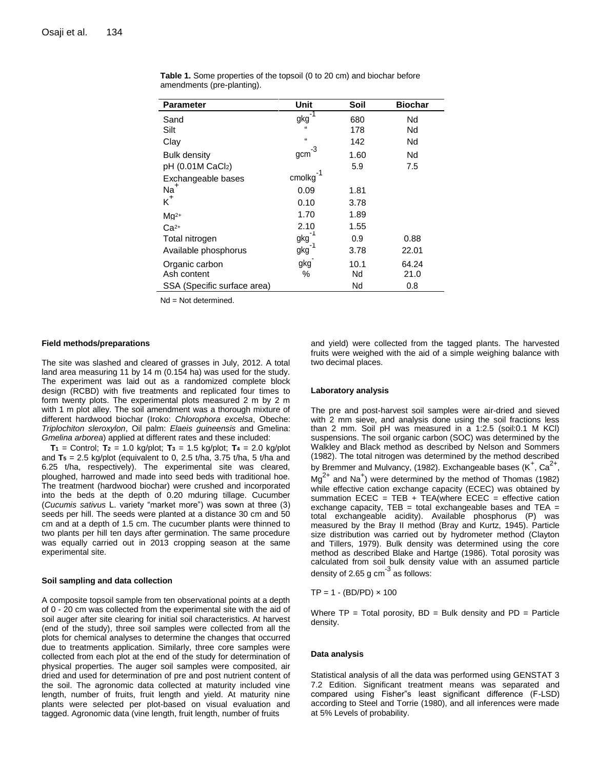| <b>Parameter</b>            | <b>Unit</b> | Soil | <b>Biochar</b> |
|-----------------------------|-------------|------|----------------|
| Sand                        | gkg         | 680  | Nd             |
| Silt                        | $\alpha$    | 178  | Nd             |
| Clay                        | $\alpha$    | 142  | Nd             |
| <b>Bulk density</b>         | -3<br>gcm   | 1.60 | Nd             |
| pH (0.01M CaCl2)            |             | 5.9  | 7.5            |
| Exchangeable bases          | cmolkg      |      |                |
| $Na+$                       | 0.09        | 1.81 |                |
| $K^+$                       | 0.10        | 3.78 |                |
| $Ma2+$                      | 1.70        | 1.89 |                |
| $Ca2+$                      | 2.10        | 1.55 |                |
| Total nitrogen              | $gkg^{-1}$  | 0.9  | 0.88           |
| Available phosphorus        | gkg         | 3.78 | 22.01          |
| Organic carbon              | gkg         | 10.1 | 64.24          |
| Ash content                 | %           | Nd   | 21.0           |
| SSA (Specific surface area) |             | Nd   | 0.8            |

**Table 1.** Some properties of the topsoil (0 to 20 cm) and biochar before amendments (pre-planting).

Nd = Not determined.

#### **Field methods/preparations**

The site was slashed and cleared of grasses in July, 2012. A total land area measuring 11 by 14 m (0.154 ha) was used for the study. The experiment was laid out as a randomized complete block design (RCBD) with five treatments and replicated four times to form twenty plots. The experimental plots measured 2 m by 2 m with 1 m plot alley. The soil amendment was a thorough mixture of different hardwood biochar (Iroko: *Chlorophora excelsa*, Obeche: *Triplochiton sleroxylon*, Oil palm: *Elaeis guineensis* and Gmelina: *Gmelina arborea*) applied at different rates and these included:

**T1** = Control; **T2** = 1.0 kg/plot; **T3** = 1.5 kg/plot; **T4** = 2.0 kg/plot and  $T_5$  = 2.5 kg/plot (equivalent to 0, 2.5 t/ha, 3.75 t/ha, 5 t/ha and 6.25 t/ha, respectively). The experimental site was cleared, ploughed, harrowed and made into seed beds with traditional hoe. The treatment (hardwood biochar) were crushed and incorporated into the beds at the depth of 0.20 mduring tillage. Cucumber (*Cucumis sativus* L. variety "market more") was sown at three (3) seeds per hill. The seeds were planted at a distance 30 cm and 50 cm and at a depth of 1.5 cm. The cucumber plants were thinned to two plants per hill ten days after germination. The same procedure was equally carried out in 2013 cropping season at the same experimental site.

#### **Soil sampling and data collection**

A composite topsoil sample from ten observational points at a depth of 0 - 20 cm was collected from the experimental site with the aid of soil auger after site clearing for initial soil characteristics. At harvest (end of the study), three soil samples were collected from all the plots for chemical analyses to determine the changes that occurred due to treatments application. Similarly, three core samples were collected from each plot at the end of the study for determination of physical properties. The auger soil samples were composited, air dried and used for determination of pre and post nutrient content of the soil. The agronomic data collected at maturity included vine length, number of fruits, fruit length and yield. At maturity nine plants were selected per plot-based on visual evaluation and tagged. Agronomic data (vine length, fruit length, number of fruits

and yield) were collected from the tagged plants. The harvested fruits were weighed with the aid of a simple weighing balance with two decimal places.

#### **Laboratory analysis**

The pre and post-harvest soil samples were air-dried and sieved with 2 mm sieve, and analysis done using the soil fractions less than 2 mm. Soil pH was measured in a 1:2.5 (soil:0.1 M KCl) suspensions. The soil organic carbon (SOC) was determined by the Walkley and Black method as described by Nelson and Sommers (1982). The total nitrogen was determined by the method described by Bremmer and Mulvancy, (1982). Exchangeable bases  $(K^+, Ca^{2+}, A)$  $Mg^{2+}$  and Na<sup>+</sup>) were determined by the method of Thomas (1982) while effective cation exchange capacity (ECEC) was obtained by summation  $ECEC = TEB + TEA(where  $ECEC =$  effective cation$ exchange capacity,  $TEB = total$  exchangeable bases and  $TEA =$ total exchangeable acidity). Available phosphorus (P) was measured by the Bray II method (Bray and Kurtz, 1945). Particle size distribution was carried out by hydrometer method (Clayton and Tillers, 1979). Bulk density was determined using the core method as described Blake and Hartge (1986). Total porosity was calculated from soil bulk density value with an assumed particle density of 2.65 g cm $^{-3}$  as follows:

 $TP = 1 - (BD/PD) \times 100$ 

Where  $TP = Total porosity$ ,  $BD = Bulk density$  and  $PD = Particle$ density.

#### **Data analysis**

Statistical analysis of all the data was performed using GENSTAT 3 7.2 Edition. Significant treatment means was separated and compared using Fisher"s least significant difference (F-LSD) according to Steel and Torrie (1980), and all inferences were made at 5% Levels of probability.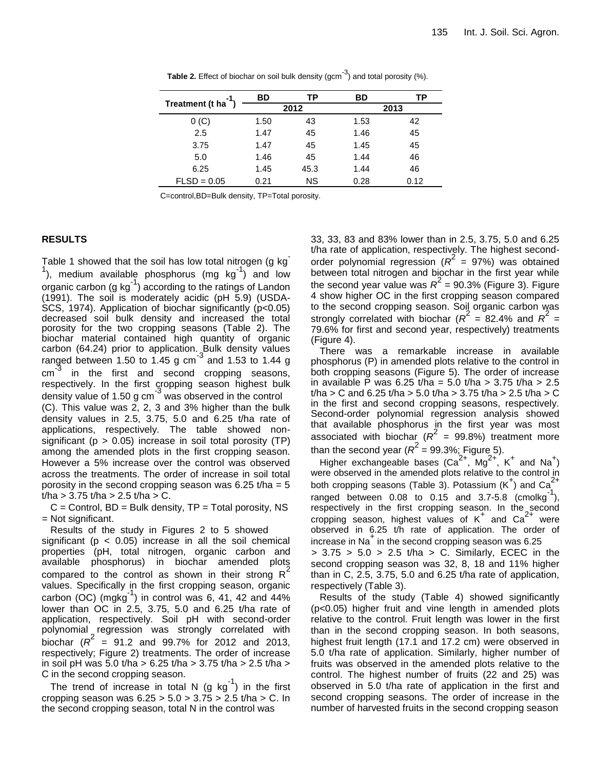|                                 | BD   | ТP        | BD   | ΤP   |  |
|---------------------------------|------|-----------|------|------|--|
| Treatment (t ha <sup>-1</sup> ) |      | 2012      | 2013 |      |  |
| $0($ C)                         | 1.50 | 43        | 1.53 | 42   |  |
| 2.5                             | 1.47 | 45        | 1.46 | 45   |  |
| 3.75                            | 1.47 | 45        | 1.45 | 45   |  |
| 5.0                             | 1.46 | 45        | 1.44 | 46   |  |
| 6.25                            | 1.45 | 45.3      | 1.44 | 46   |  |
| $FLSD = 0.05$                   | 0.21 | <b>NS</b> | 0.28 | 0.12 |  |
|                                 |      |           |      |      |  |

**Table 2.** Effect of biochar on soil bulk density (gcm<sup>-3</sup>) and total porosity (%).

C=control,BD=Bulk density, TP=Total porosity.

## **RESULTS**

Table 1 showed that the soil has low total nitrogen (g kg <sup>1</sup>), medium available phosphorus (mg kg<sup>-1</sup>) and low  $\alpha$  organic carbon (g kg<sup>-1</sup>) according to the ratings of Landon (1991). The soil is moderately acidic (pH 5.9) (USDA-SCS, 1974). Application of biochar significantly (p<0.05) decreased soil bulk density and increased the total porosity for the two cropping seasons (Table 2). The biochar material contained high quantity of organic carbon (64.24) prior to application. Bulk density values<br>ranged between 1.50 to 1.45 g cm<sup>-3</sup> and 1.53 to 1.44 g cm -3 in the first and second cropping seasons, respectively. In the first cropping season highest bulk<br>density value of 1.50 g cm<sup>3</sup> was observed in the control (C). This value was 2, 2, 3 and 3% higher than the bulk density values in 2.5, 3.75, 5.0 and 6.25 t/ha rate of applications, respectively. The table showed nonsignificant ( $p > 0.05$ ) increase in soil total porosity (TP) among the amended plots in the first cropping season. However a 5% increase over the control was observed across the treatments. The order of increase in soil total porosity in the second cropping season was  $6.25$  t/ha =  $5$ t/ha >  $3.75$  t/ha >  $2.5$  t/ha  $>$  C.

 $C =$  Control,  $BD =$  Bulk density,  $TP =$  Total porosity, NS = Not significant.

Results of the study in Figures 2 to 5 showed significant ( $p < 0.05$ ) increase in all the soil chemical properties (pH, total nitrogen, organic carbon and available phosphorus) in biochar amended plots compared to the control as shown in their strong  $R^2$ values. Specifically in the first cropping season, organic carbon (OC)  $(mgkg^{-1})$  in control was 6, 41, 42 and 44% lower than OC in 2.5, 3.75, 5.0 and 6.25 t/ha rate of application, respectively. Soil pH with second-order polynomial regression was strongly correlated with biochar  $(R^2 = 91.2$  and 99.7% for 2012 and 2013, respectively; Figure 2) treatments. The order of increase in soil pH was 5.0 t/ha > 6.25 t/ha > 3.75 t/ha > 2.5 t/ha > C in the second cropping season.

The trend of increase in total N (g  $kg^{-1}$ ) in the first cropping season was  $6.25 > 5.0 > 3.75 > 2.5$  t/ha  $> C$ . In the second cropping season, total N in the control was

33, 33, 83 and 83% lower than in 2.5, 3.75, 5.0 and 6.25 t/ha rate of application, respectively. The highest secondorder polynomial regression  $(R^2 = 97%)$  was obtained between total nitrogen and biochar in the first year while the second year value was  $R^2$  = 90.3% (Figure 3). Figure 4 show higher OC in the first cropping season compared to the second cropping season. Soil organic carbon was strongly correlated with biochar  $(R^2 = 82.4\%$  and  $R^2 =$ 79.6% for first and second year, respectively) treatments (Figure 4).

There was a remarkable increase in available phosphorus (P) in amended plots relative to the control in both cropping seasons (Figure 5). The order of increase in available P was 6.25 t/ha = 5.0 t/ha > 3.75 t/ha > 2.5 t/ha > C and 6.25 t/ha > 5.0 t/ha > 3.75 t/ha > 2.5 t/ha > C in the first and second cropping seasons, respectively. Second-order polynomial regression analysis showed that available phosphorus in the first year was most associated with biochar  $(R^2 = 99.8\%)$  treatment more than the second year ( $R^2 = 99.3\%$ ; Figure 5).

Higher exchangeable bases  $(Ca^{2+}, Mg^{2+}, K^+)$  and Na<sup>+</sup>) were observed in the amended plots relative to the control in both cropping seasons (Table 3). Potassium  $(K^+)$  and  $Ca^{2+}$ ranged between  $0.08$  to  $0.15$  and  $3.7-5.8$  (cmolkg<sup>-1</sup>), respectively in the first cropping season. In the second cropping season, highest values of  $K^+$  and  $Ca^{2+}$  were observed in 6.25 t/h rate of application. The order of increase in Na<sup>+</sup> in the second cropping season was 6.25  $> 3.75 > 5.0 > 2.5$  t/ha  $> C$ . Similarly, ECEC in the second cropping season was 32, 8, 18 and 11% higher than in C, 2.5, 3.75, 5.0 and 6.25 t/ha rate of application,

respectively (Table 3). Results of the study (Table 4) showed significantly (p<0.05) higher fruit and vine length in amended plots relative to the control. Fruit length was lower in the first than in the second cropping season. In both seasons, highest fruit length (17.1 and 17.2 cm) were observed in 5.0 t/ha rate of application. Similarly, higher number of fruits was observed in the amended plots relative to the control. The highest number of fruits (22 and 25) was observed in 5.0 t/ha rate of application in the first and second cropping seasons. The order of increase in the number of harvested fruits in the second cropping season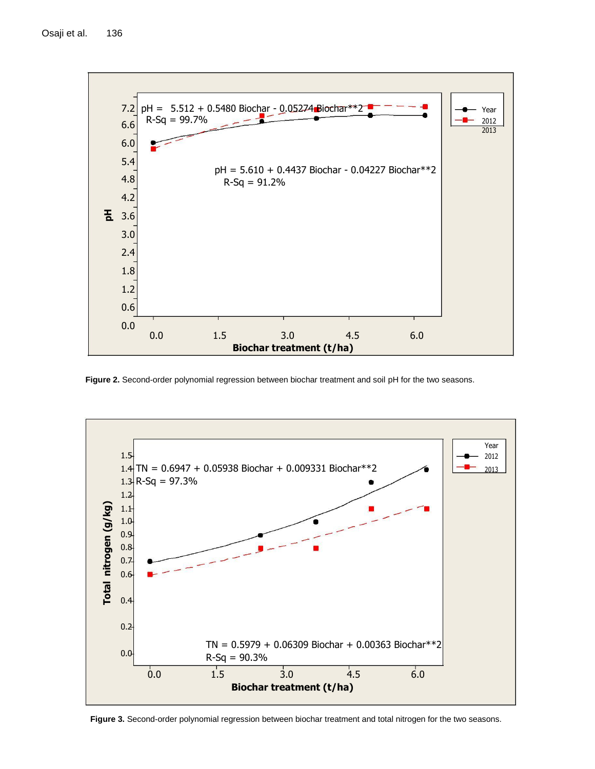

**Figure 2.** Second-order polynomial regression between biochar treatment and soil pH for the two seasons.



**Figure 3.** Second-order polynomial regression between biochar treatment and total nitrogen for the two seasons.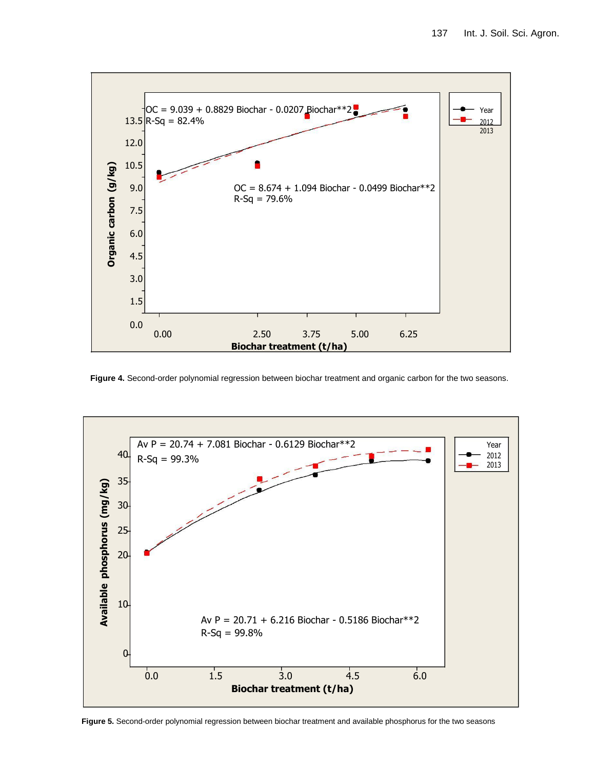

**Figure 4.** Second-order polynomial regression between biochar treatment and organic carbon for the two seasons.



**Figure 5.** Second-order polynomial regression between biochar treatment and available phosphorus for the two seasons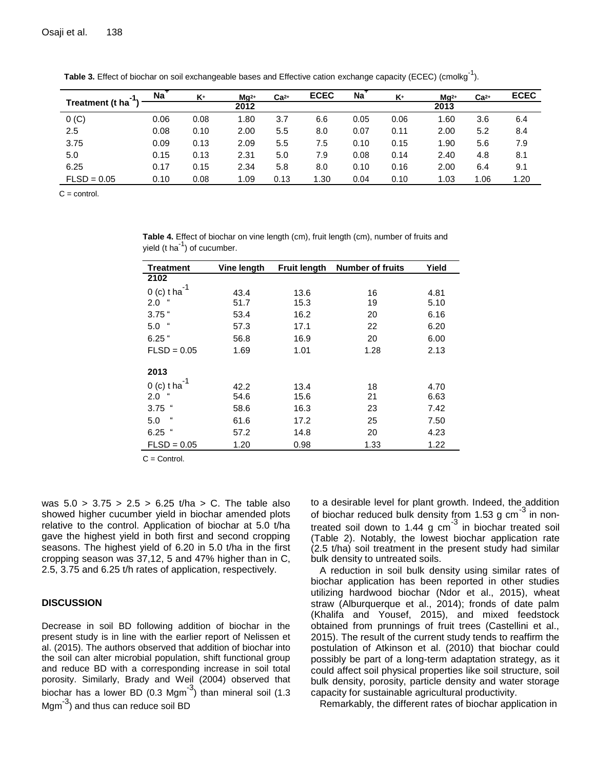| -1              | $\overline{Na}^+$ | K+   | $Ma2+$ | $Ca2+$ | <b>ECEC</b> | <b>Na</b> | K+   | $Ma2+$ | $Ca2+$ | <b>ECEC</b> |
|-----------------|-------------------|------|--------|--------|-------------|-----------|------|--------|--------|-------------|
| Treatment (t ha |                   |      | 2012   |        |             |           |      | 2013   |        |             |
| $0($ C)         | 0.06              | 0.08 | 1.80   | 3.7    | 6.6         | 0.05      | 0.06 | 1.60   | 3.6    | 6.4         |
| 2.5             | 0.08              | 0.10 | 2.00   | 5.5    | 8.0         | 0.07      | 0.11 | 2.00   | 5.2    | 8.4         |
| 3.75            | 0.09              | 0.13 | 2.09   | 5.5    | 7.5         | 0.10      | 0.15 | 1.90   | 5.6    | 7.9         |
| 5.0             | 0.15              | 0.13 | 2.31   | 5.0    | 7.9         | 0.08      | 0.14 | 2.40   | 4.8    | 8.1         |
| 6.25            | 0.17              | 0.15 | 2.34   | 5.8    | 8.0         | 0.10      | 0.16 | 2.00   | 6.4    | 9.1         |
| $FLSD = 0.05$   | 0.10              | 0.08 | 1.09   | 0.13   | 1.30        | 0.04      | 0.10 | 1.03   | 1.06   | 1.20        |

Table 3. Effect of biochar on soil exchangeable bases and Effective cation exchange capacity (ECEC) (cmolkg<sup>-1</sup>).

 $C = \text{control}$ .

**Table 4.** Effect of biochar on vine length (cm), fruit length (cm), number of fruits and yield (t ha<sup>-1</sup>) of cucumber.

| <b>Treatment</b>           | Vine length | <b>Fruit length</b> | <b>Number of fruits</b> | Yield |
|----------------------------|-------------|---------------------|-------------------------|-------|
| 2102                       |             |                     |                         |       |
| $0$ (c) t ha               | 43.4        | 13.6                | 16                      | 4.81  |
| 2.0                        | 51.7        | 15.3                | 19                      | 5.10  |
| $3.75$ $\degree$           | 53.4        | 16.2                | 20                      | 6.16  |
| $\alpha$<br>5.0            | 57.3        | 17.1                | 22                      | 6.20  |
| $6.25$ "                   | 56.8        | 16.9                | 20                      | 6.00  |
| $FLSD = 0.05$              | 1.69        | 1.01                | 1.28                    | 2.13  |
| 2013                       |             |                     |                         |       |
| $0$ (c) t ha               | 42.2        | 13.4                | 18                      | 4.70  |
| 2.0                        | 54.6        | 15.6                | 21                      | 6.63  |
| $\boldsymbol{\mu}$<br>3.75 | 58.6        | 16.3                | 23                      | 7.42  |
| $\pmb{\epsilon}$<br>5.0    | 61.6        | 17.2                | 25                      | 7.50  |
| $\boldsymbol{\mu}$<br>6.25 | 57.2        | 14.8                | 20                      | 4.23  |
| $FLSD = 0.05$              | 1.20        | 0.98                | 1.33                    | 1.22  |

 $C =$  Control.

was  $5.0 > 3.75 > 2.5 > 6.25$  t/ha > C. The table also showed higher cucumber yield in biochar amended plots relative to the control. Application of biochar at 5.0 t/ha gave the highest yield in both first and second cropping seasons. The highest yield of 6.20 in 5.0 t/ha in the first cropping season was 37,12, 5 and 47% higher than in C, 2.5, 3.75 and 6.25 t/h rates of application, respectively.

## **DISCUSSION**

Decrease in soil BD following addition of biochar in the present study is in line with the earlier report of Nelissen et al. (2015). The authors observed that addition of biochar into the soil can alter microbial population, shift functional group and reduce BD with a corresponding increase in soil total porosity. Similarly, Brady and Weil (2004) observed that .<br>biochar has a lower BD (0.3 Mgm<sup>-3</sup>) than mineral soil (1.3 Mgm<sup>-3</sup>) and thus can reduce soil BD

to a desirable level for plant growth. Indeed, the addition of biochar reduced bulk density from  $1.53$  g cm<sup>-3</sup> in nontreated soil down to 1.44 g cm<sup>-3</sup> in biochar treated soil (Table 2). Notably, the lowest biochar application rate (2.5 t/ha) soil treatment in the present study had similar bulk density to untreated soils.

A reduction in soil bulk density using similar rates of biochar application has been reported in other studies utilizing hardwood biochar (Ndor et al., 2015), wheat straw (Alburquerque et al., 2014); fronds of date palm (Khalifa and Yousef, 2015), and mixed feedstock obtained from prunnings of fruit trees (Castellini et al., 2015). The result of the current study tends to reaffirm the postulation of Atkinson et al. (2010) that biochar could possibly be part of a long-term adaptation strategy, as it could affect soil physical properties like soil structure, soil bulk density, porosity, particle density and water storage capacity for sustainable agricultural productivity.

Remarkably, the different rates of biochar application in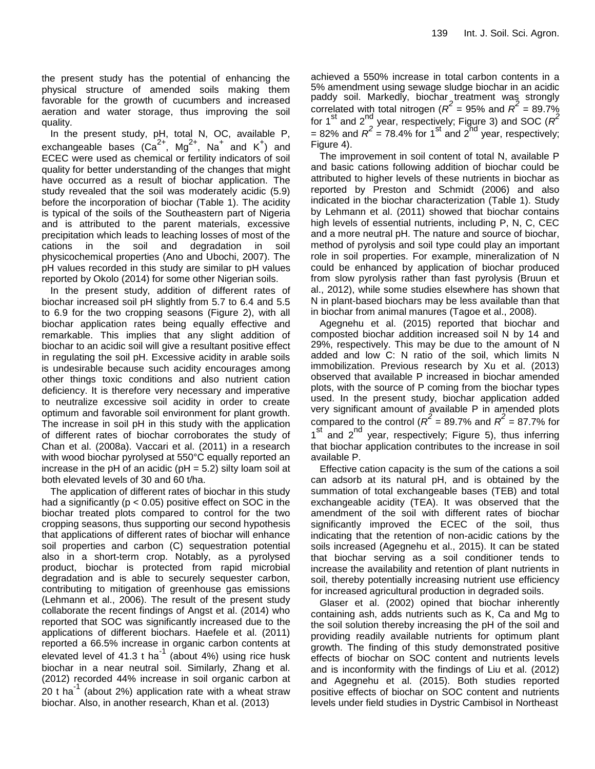the present study has the potential of enhancing the physical structure of amended soils making them favorable for the growth of cucumbers and increased aeration and water storage, thus improving the soil quality.

In the present study, pH, total N, OC, available P, exchangeable bases  $(Ca^{2+}, Mg^{2+}, Na^{+}$  and  $K^{+})$  and ECEC were used as chemical or fertility indicators of soil quality for better understanding of the changes that might have occurred as a result of biochar application. The study revealed that the soil was moderately acidic (5.9) before the incorporation of biochar (Table 1). The acidity is typical of the soils of the Southeastern part of Nigeria and is attributed to the parent materials, excessive precipitation which leads to leaching losses of most of the cations in the soil and degradation in soil physicochemical properties (Ano and Ubochi, 2007). The pH values recorded in this study are similar to pH values reported by Okolo (2014) for some other Nigerian soils.

In the present study, addition of different rates of biochar increased soil pH slightly from 5.7 to 6.4 and 5.5 to 6.9 for the two cropping seasons (Figure 2), with all biochar application rates being equally effective and remarkable. This implies that any slight addition of biochar to an acidic soil will give a resultant positive effect in regulating the soil pH. Excessive acidity in arable soils is undesirable because such acidity encourages among other things toxic conditions and also nutrient cation deficiency. It is therefore very necessary and imperative to neutralize excessive soil acidity in order to create optimum and favorable soil environment for plant growth. The increase in soil pH in this study with the application of different rates of biochar corroborates the study of Chan et al. (2008a). Vaccari et al. (2011) in a research with wood biochar pyrolysed at 550°C equally reported an increase in the pH of an acidic ( $pH = 5.2$ ) silty loam soil at both elevated levels of 30 and 60 t/ha.

The application of different rates of biochar in this study had a significantly ( $p < 0.05$ ) positive effect on SOC in the biochar treated plots compared to control for the two cropping seasons, thus supporting our second hypothesis that applications of different rates of biochar will enhance soil properties and carbon (C) sequestration potential also in a short-term crop. Notably, as a pyrolysed product, biochar is protected from rapid microbial degradation and is able to securely sequester carbon, contributing to mitigation of greenhouse gas emissions (Lehmann et al., 2006). The result of the present study collaborate the recent findings of Angst et al. (2014) who reported that SOC was significantly increased due to the applications of different biochars. Haefele et al. (2011) reported a 66.5% increase in organic carbon contents at elevated level of 41.3  $t$  ha<sup>-1</sup> (about 4%) using rice husk biochar in a near neutral soil. Similarly, Zhang et al. (2012) recorded 44% increase in soil organic carbon at  $20$  t ha<sup>-1</sup> (about 2%) application rate with a wheat straw biochar. Also, in another research, Khan et al. (2013)

achieved a 550% increase in total carbon contents in a 5% amendment using sewage sludge biochar in an acidic paddy soil. Markedly, biochar treatment was strongly correlated with total nitrogen  $(R^2 = 95\%$  and  $R^2 = 89.7\%$ for 1<sup>st</sup> and 2<sup>nd</sup> year, respectively; Figure 3) and SOC ( $R^2$  $= 82\%$  and  $R^2 = 78.4\%$  for 1<sup>st</sup> and 2<sup>nd</sup> year, respectively; Figure 4).

The improvement in soil content of total N, available P and basic cations following addition of biochar could be attributed to higher levels of these nutrients in biochar as reported by Preston and Schmidt (2006) and also indicated in the biochar characterization (Table 1). Study by Lehmann et al. (2011) showed that biochar contains high levels of essential nutrients, including P, N, C, CEC and a more neutral pH. The nature and source of biochar, method of pyrolysis and soil type could play an important role in soil properties. For example, mineralization of N could be enhanced by application of biochar produced from slow pyrolysis rather than fast pyrolysis (Bruun et al., 2012), while some studies elsewhere has shown that N in plant-based biochars may be less available than that in biochar from animal manures (Tagoe et al., 2008).

Agegnehu et al. (2015) reported that biochar and composted biochar addition increased soil N by 14 and 29%, respectively. This may be due to the amount of N added and low C: N ratio of the soil, which limits N immobilization. Previous research by Xu et al. (2013) observed that available P increased in biochar amended plots, with the source of P coming from the biochar types used. In the present study, biochar application added very significant amount of available P in amended plots compared to the control ( $R^2$  = 89.7% and  $R^2$  = 87.7% for 1<sup>st</sup> and 2<sup>nd</sup> year, respectively; Figure 5), thus inferring that biochar application contributes to the increase in soil available P.

Effective cation capacity is the sum of the cations a soil can adsorb at its natural pH, and is obtained by the summation of total exchangeable bases (TEB) and total exchangeable acidity (TEA). It was observed that the amendment of the soil with different rates of biochar significantly improved the ECEC of the soil, thus indicating that the retention of non-acidic cations by the soils increased (Agegnehu et al., 2015). It can be stated that biochar serving as a soil conditioner tends to increase the availability and retention of plant nutrients in soil, thereby potentially increasing nutrient use efficiency for increased agricultural production in degraded soils.

Glaser et al. (2002) opined that biochar inherently containing ash, adds nutrients such as K, Ca and Mg to the soil solution thereby increasing the pH of the soil and providing readily available nutrients for optimum plant growth. The finding of this study demonstrated positive effects of biochar on SOC content and nutrients levels and is inconformity with the findings of Liu et al. (2012) and Agegnehu et al. (2015). Both studies reported positive effects of biochar on SOC content and nutrients levels under field studies in Dystric Cambisol in Northeast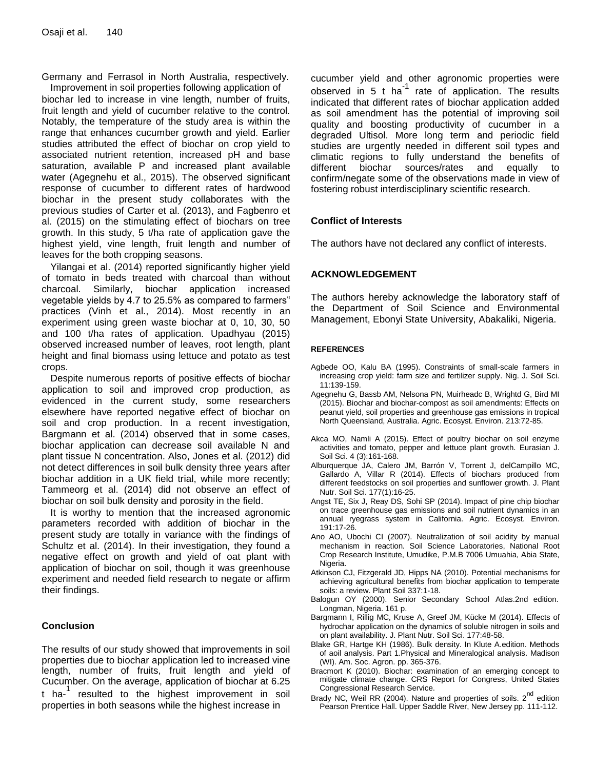Germany and Ferrasol in North Australia, respectively. Improvement in soil properties following application of

biochar led to increase in vine length, number of fruits, fruit length and yield of cucumber relative to the control. Notably, the temperature of the study area is within the range that enhances cucumber growth and yield. Earlier studies attributed the effect of biochar on crop yield to associated nutrient retention, increased pH and base saturation, available P and increased plant available water (Agegnehu et al., 2015). The observed significant response of cucumber to different rates of hardwood biochar in the present study collaborates with the previous studies of Carter et al. (2013), and Fagbenro et al. (2015) on the stimulating effect of biochars on tree growth. In this study, 5 t/ha rate of application gave the highest yield, vine length, fruit length and number of leaves for the both cropping seasons.

Yilangai et al. (2014) reported significantly higher yield of tomato in beds treated with charcoal than without charcoal. Similarly, biochar application increased vegetable yields by 4.7 to 25.5% as compared to farmers" practices (Vinh et al., 2014). Most recently in an experiment using green waste biochar at 0, 10, 30, 50 and 100 t/ha rates of application. Upadhyau (2015) observed increased number of leaves, root length, plant height and final biomass using lettuce and potato as test crops.

Despite numerous reports of positive effects of biochar application to soil and improved crop production, as evidenced in the current study, some researchers elsewhere have reported negative effect of biochar on soil and crop production. In a recent investigation, Bargmann et al. (2014) observed that in some cases, biochar application can decrease soil available N and plant tissue N concentration. Also, Jones et al. (2012) did not detect differences in soil bulk density three years after biochar addition in a UK field trial, while more recently; Tammeorg et al. (2014) did not observe an effect of biochar on soil bulk density and porosity in the field.

It is worthy to mention that the increased agronomic parameters recorded with addition of biochar in the present study are totally in variance with the findings of Schultz et al. (2014). In their investigation, they found a negative effect on growth and yield of oat plant with application of biochar on soil, though it was greenhouse experiment and needed field research to negate or affirm their findings.

## **Conclusion**

The results of our study showed that improvements in soil properties due to biochar application led to increased vine length, number of fruits, fruit length and yield of Cucumber. On the average, application of biochar at 6.25 t ha-<sup>1</sup> resulted to the highest improvement in soil properties in both seasons while the highest increase in

cucumber yield and other agronomic properties were observed in 5 t ha<sup>-1</sup> rate of application. The results indicated that different rates of biochar application added as soil amendment has the potential of improving soil quality and boosting productivity of cucumber in a degraded Ultisol. More long term and periodic field studies are urgently needed in different soil types and climatic regions to fully understand the benefits of different biochar sources/rates and equally to confirm/negate some of the observations made in view of fostering robust interdisciplinary scientific research.

## **Conflict of Interests**

The authors have not declared any conflict of interests.

## **ACKNOWLEDGEMENT**

The authors hereby acknowledge the laboratory staff of the Department of Soil Science and Environmental Management, Ebonyi State University, Abakaliki, Nigeria.

## **REFERENCES**

- Agbede OO, Kalu BA (1995). Constraints of small-scale farmers in increasing crop yield: farm size and fertilizer supply. Nig. J. Soil Sci. 11:139-159.
- Agegnehu G, Bassb AM, Nelsona PN, Muirheadc B, Wrightd G, Bird MI (2015). Biochar and biochar-compost as soil amendments: Effects on peanut yield, soil properties and greenhouse gas emissions in tropical North Queensland, Australia. Agric. Ecosyst. Environ. 213:72-85.
- Akca MO, Namli A (2015). Effect of poultry biochar on soil enzyme activities and tomato, pepper and lettuce plant growth. Eurasian J. Soil Sci. 4 (3):161-168.
- Alburquerque JA, Calero JM, Barrón V, Torrent J, delCampillo MC, Gallardo A, Villar R (2014). Effects of biochars produced from different feedstocks on soil properties and sunflower growth. J. Plant Nutr. Soil Sci. 177(1):16-25.
- Angst TE, Six J, Reay DS, Sohi SP (2014). Impact of pine chip biochar on trace greenhouse gas emissions and soil nutrient dynamics in an annual ryegrass system in California. Agric. Ecosyst. Environ. 191:17-26.
- Ano AO, Ubochi CI (2007). Neutralization of soil acidity by manual mechanism in reaction. Soil Science Laboratories, National Root Crop Research Institute, Umudike, P.M.B 7006 Umuahia, Abia State, Nigeria.
- Atkinson CJ, Fitzgerald JD, Hipps NA (2010). Potential mechanisms for achieving agricultural benefits from biochar application to temperate soils: a review. Plant Soil 337:1-18.
- Balogun OY (2000). Senior Secondary School Atlas.2nd edition. Longman, Nigeria. 161 p.
- Bargmann I, Rillig MC, Kruse A, Greef JM, Kücke M (2014). Effects of hydrochar application on the dynamics of soluble nitrogen in soils and on plant availability. J. Plant Nutr. Soil Sci. 177:48-58.
- Blake GR, Hartge KH (1986). Bulk density. In Klute A.edition. Methods of aoil analysis. Part 1.Physical and Mineralogical analysis. Madison (WI). Am. Soc. Agron. pp. 365-376.
- Bracmort K (2010). Biochar: examination of an emerging concept to mitigate climate change. CRS Report for Congress, United States Congressional Research Service.
- Brady NC, Weil RR (2004). Nature and properties of soils. 2<sup>nd</sup> edition Pearson Prentice Hall. Upper Saddle River, New Jersey pp. 111-112.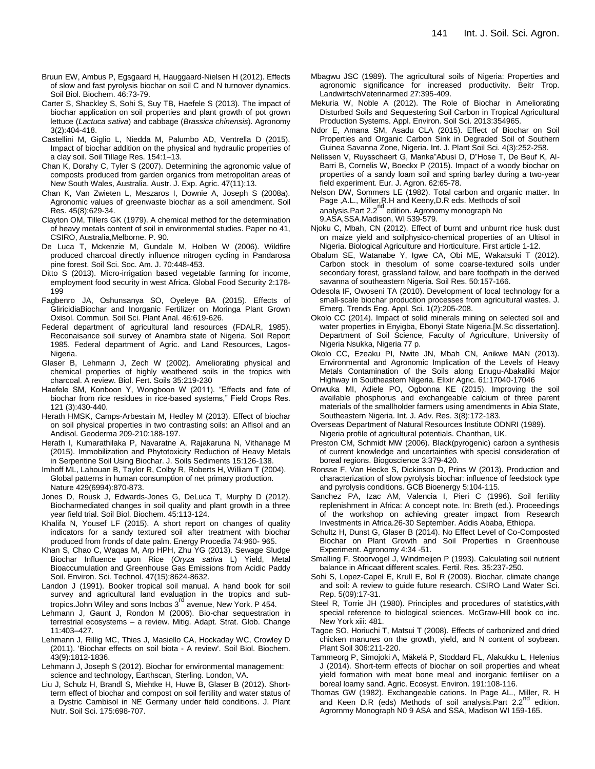- Bruun EW, Ambus P, Egsgaard H, Hauggaard-Nielsen H (2012). Effects of slow and fast pyrolysis biochar on soil C and N turnover dynamics. Soil Biol. Biochem. 46:73-79.
- Carter S, Shackley S, Sohi S, Suy TB, Haefele S (2013). The impact of biochar application on soil properties and plant growth of pot grown lettuce (*Lactuca sativa*) and cabbage (*Brassica chinensis*). Agronomy 3(2):404-418.
- Castellini M, Giglio L, Niedda M, Palumbo AD, Ventrella D (2015). Impact of biochar addition on the physical and hydraulic properties of a clay soil. Soil Tillage Res. 154:1–13.
- Chan K, Dorahy C, Tyler S (2007). Determining the agronomic value of composts produced from garden organics from metropolitan areas of New South Wales, Australia. Austr. J. Exp. Agric. 47(11):13.
- Chan K, Van Zwieten L, Meszaros I, Downie A, Joseph S (2008a). Agronomic values of greenwaste biochar as a soil amendment. Soil Res. 45(8):629-34.
- Clayton OM, Tillers GK (1979). A chemical method for the determination of heavy metals content of soil in environmental studies. Paper no 41, CSIRO, Australia,Melborne. P. 90.
- De Luca T, Mckenzie M, Gundale M, Holben W (2006). Wildfire produced charcoal directly influence nitrogen cycling in Pandarosa pine forest. Soil Sci. Soc. Am. J. 70:448-453.
- Ditto S (2013). Micro-irrigation based vegetable farming for income, employment food security in west Africa. Global Food Security 2:178- 199
- Fagbenro JA, Oshunsanya SO, Oyeleye BA (2015). Effects of GliricidiaBiochar and Inorganic Fertilizer on Moringa Plant Grown Oxisol. Commun. Soil Sci. Plant Anal. 46:619-626.
- Federal department of agricultural land resources (FDALR, 1985). Reconaisance soil survey of Anambra state of Nigeria. Soil Report 1985. Federal department of Agric. and Land Resources, Lagos-Nigeria.
- Glaser B, Lehmann J, Zech W (2002). Ameliorating physical and chemical properties of highly weathered soils in the tropics with charcoal. A review. Biol. Fert. Soils 35:219-230
- Haefele SM, Konboon Y, Wongboon W (2011). "Effects and fate of biochar from rice residues in rice-based systems," Field Crops Res. 121 (3):430-440.
- Herath HMSK, Camps-Arbestain M, Hedley M (2013). Effect of biochar on soil physical properties in two contrasting soils: an Alfisol and an Andisol. Geoderma 209-210:188-197.
- Herath I, Kumarathilaka P, Navaratne A, Rajakaruna N, Vithanage M (2015). Immobilization and Phytotoxicity Reduction of Heavy Metals in Serpentine Soil Using Biochar. J. Soils Sediments 15:126-138.
- Imhoff ML, Lahouan B, Taylor R, Colby R, Roberts H, William T (2004). Global patterns in human consumption of net primary production. Nature 429(6994):870-873.
- Jones D, Rousk J, Edwards-Jones G, DeLuca T, Murphy D (2012). Biocharmediated changes in soil quality and plant growth in a three year field trial. Soil Biol. Biochem. 45:113-124.
- Khalifa N, Yousef LF (2015). A short report on changes of quality indicators for a sandy textured soil after treatment with biochar produced from fronds of date palm. Energy Procedia 74:960- 965.
- Khan S, Chao C, Waqas M, Arp HPH, Zhu YG (2013). Sewage Sludge Biochar Influence upon Rice (*Oryza sativa* L) Yield, Metal Bioaccumulation and Greenhouse Gas Emissions from Acidic Paddy Soil. Environ. Sci. Technol. 47(15):8624-8632.
- Landon J (1991). Booker tropical soil manual. A hand book for soil survey and agricultural land evaluation in the tropics and subtropics.John Wiley and sons Incbos 3<sup>rd</sup> avenue, New York. P 454.
- Lehmann J, Gaunt J, Rondon M (2006). Bio-char sequestration in terrestrial ecosystems – a review. Mitig. Adapt. Strat. Glob. Change 11:403–427.
- Lehmann J, Rillig MC, Thies J, Masiello CA, Hockaday WC, Crowley D (2011). 'Biochar effects on soil biota - A review'. Soil Biol. Biochem. 43(9):1812-1836.
- Lehmann J, Joseph S (2012). Biochar for environmental management: science and technology, Earthscan, Sterling. London, VA.
- Liu J, Schulz H, Brandl S, Miehtke H, Huwe B, Glaser B (2012). Shortterm effect of biochar and compost on soil fertility and water status of a Dystric Cambisol in NE Germany under field conditions. J. Plant Nutr. Soil Sci. 175:698-707.
- Mbagwu JSC (1989). The agricultural soils of Nigeria: Properties and agronomic significance for increased productivity. Beitr Trop. LandwirtschVeterinarmed 27:395-409.
- Mekuria W, Noble A (2012). The Role of Biochar in Ameliorating Disturbed Soils and Sequestering Soil Carbon in Tropical Agricultural Production Systems. Appl. Environ. Soil Sci. 2013:354965.
- Ndor E, Amana SM, Asadu CLA (2015). Effect of Biochar on Soil Properties and Organic Carbon Sink in Degraded Soil of Southern Guinea Savanna Zone, Nigeria. Int. J. Plant Soil Sci. 4(3):252-258.
- Nelissen V, Ruysschaert G, Manka"Abusi D, D"Hose T, De Beuf K, Al-Barri B, Cornelis W, Boeckx P (2015). Impact of a woody biochar on properties of a sandy loam soil and spring barley during a two-year field experiment. Eur. J. Agron. 62:65-78.
- Nelson DW, Sommers LE (1982). Total carbon and organic matter. In Page ,A.L., Miller,R.H and Keeny,D.R eds. Methods of soil<br>analysis.Part 2.2<sup>nd</sup> edition. Agronomy monograph No 9,ASA,SSA.Madison, WI 539-579.
- Njoku C, Mbah, CN (2012). Effect of burnt and unburnt rice husk dust on maize yield and soilphysico-chemical properties of an Ultisol in Nigeria. Biological Agriculture and Horticulture. First article 1-12.
- Obalum SE, Watanabe Y, Igwe CA, Obi ME, Wakatsuki T (2012). Carbon stock in thesolum of some coarse-textured soils under secondary forest, grassland fallow, and bare foothpath in the derived savanna of southeastern Nigeria. Soil Res. 50:157-166.
- Odesola IF, Owoseni TA (2010). Development of local technology for a small-scale biochar production processes from agricultural wastes. J. Emerg. Trends Eng. Appl. Sci. 1(2):205-208.
- Okolo CC (2014). Impact of solid minerals mining on selected soil and water properties in Enyigba, Ebonyi State Nigeria.[M.Sc dissertation]. Department of Soil Science, Faculty of Agriculture, University of Nigeria Nsukka, Nigeria 77 p.
- Okolo CC, Ezeaku PI, Nwite JN, Mbah CN, Anikwe MAN (2013). Environmental and Agronomic Implication of the Levels of Heavy Metals Contamination of the Soils along Enugu-Abakaliki Major Highway in Southeastern Nigeria. Elixir Agric. 61:17040-17046
- Onwuka MI, Adiele PO, Ogbonna KE (2015). Improving the soil available phosphorus and exchangeable calcium of three parent materials of the smallholder farmers using amendments in Abia State, Southeastern Nigeria. Int. J. Adv. Res. 3(8):172-183.
- Overseas Department of Natural Resources Institute ODNRI (1989). Nigeria profile of agricultural potentials. Chanthan, UK.
- Preston CM, Schmidt MW (2006). Black(pyrogenic) carbon a synthesis of current knowledge and uncertainties with specisl consideration of boreal regions. Biogoscience 3:379-420.
- Ronsse F, Van Hecke S, Dickinson D, Prins W (2013). Production and characterization of slow pyrolysis biochar: influence of feedstock type and pyrolysis conditions. GCB Bioenergy 5:104-115.
- Sanchez PA, Izac AM, Valencia I, Pieri C (1996). Soil fertility replenishment in Africa: A concept note. In: Breth (ed.). Proceedings of the workshop on achieving greater impact from Research Investments in Africa.26-30 September. Addis Ababa, Ethiopa.
- Schultz H, Dunst G, Glaser B (2014). No Effect Level of Co-Composted Biochar on Plant Growth and Soil Properties in Greenhouse Experiment. Agronomy 4:34 -51.
- Smalling F, Stoorvogel J, Windmeijen P (1993). Calculating soil nutrient balance in Africaat different scales. Fertil. Res. 35:237-250.
- Sohi S, Lopez-Capel E, Krull E, Bol R (2009). Biochar, climate change and soil: A review to guide future research. CSIRO Land Water Sci. Rep. 5(09):17-31.
- Steel R, Torrie JH (1980). Principles and procedures of statistics,with special reference to biological sciences. McGraw-Hill book co inc. New York xiii: 481.
- Tagoe SO, Horiuchi T, Matsui T (2008). Effects of carbonized and dried chicken manures on the growth, yield, and N content of soybean. Plant Soil 306:211-220.
- Tammeorg P, Simojoki A, Mäkelä P, Stoddard FL, Alakukku L, Helenius J (2014). Short-term effects of biochar on soil properties and wheat yield formation with meat bone meal and inorganic fertiliser on a boreal loamy sand. Agric. Ecosyst. Environ. 191:108-116.
- Thomas GW (1982). Exchangeable cations. In Page AL., Miller, R. H and Keen D.R (eds) Methods of soil analysis.Part 2.2<sup>nd</sup> edition. Agrornmy Monograph N0 9 ASA and SSA, Madison WI 159-165.